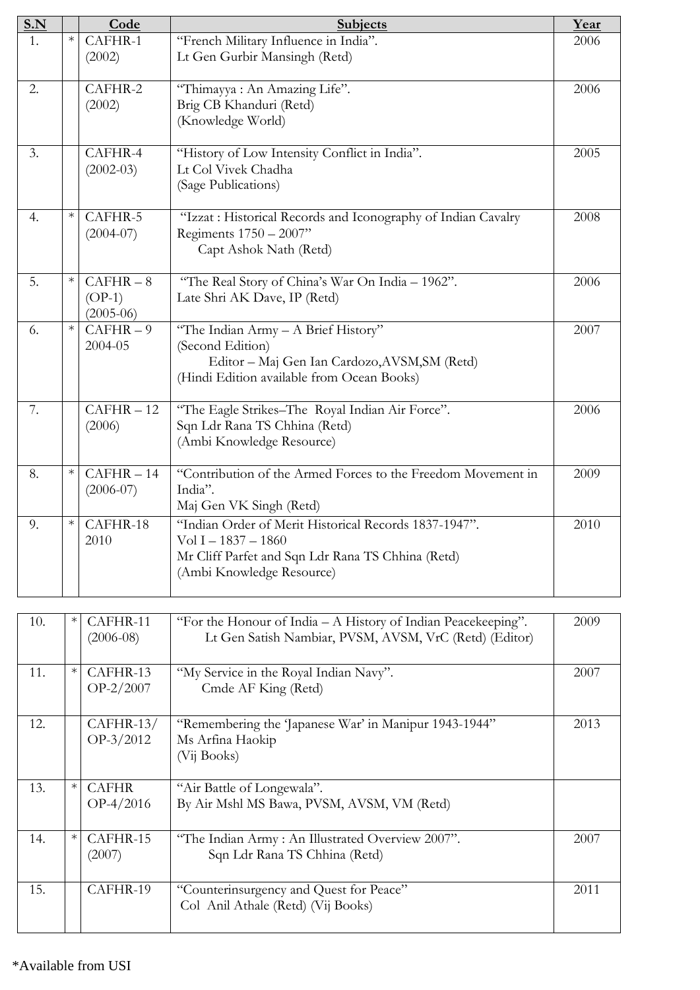| S.N            |        | Code              | <b>Subjects</b>                                                                             | Year |
|----------------|--------|-------------------|---------------------------------------------------------------------------------------------|------|
| $\mathbf{1}$ . | $\ast$ | CAFHR-1           | "French Military Influence in India".                                                       | 2006 |
|                |        | (2002)            | Lt Gen Gurbir Mansingh (Retd)                                                               |      |
|                |        |                   |                                                                                             |      |
| 2.             |        | CAFHR-2<br>(2002) | "Thimayya : An Amazing Life".<br>Brig CB Khanduri (Retd)                                    | 2006 |
|                |        |                   | (Knowledge World)                                                                           |      |
|                |        |                   |                                                                                             |      |
| 3.             |        | CAFHR-4           | "History of Low Intensity Conflict in India".                                               | 2005 |
|                |        | $(2002-03)$       | Lt Col Vivek Chadha                                                                         |      |
|                |        |                   | (Sage Publications)                                                                         |      |
| 4.             | $\ast$ | CAFHR-5           | "Izzat : Historical Records and Iconography of Indian Cavalry                               | 2008 |
|                |        | $(2004-07)$       | Regiments 1750 - 2007"                                                                      |      |
|                |        |                   | Capt Ashok Nath (Retd)                                                                      |      |
|                |        |                   |                                                                                             |      |
| 5.             | $\ast$ | $CAFHR - 8$       | "The Real Story of China's War On India - 1962".                                            | 2006 |
|                |        | $(OP-1)$          | Late Shri AK Dave, IP (Retd)                                                                |      |
|                |        | $(2005-06)$       |                                                                                             |      |
| 6.             | $\ast$ | $CAFHR - 9$       | "The Indian Army - A Brief History"                                                         | 2007 |
|                |        | 2004-05           | (Second Edition)                                                                            |      |
|                |        |                   | Editor - Maj Gen Ian Cardozo, AVSM, SM (Retd)<br>(Hindi Edition available from Ocean Books) |      |
|                |        |                   |                                                                                             |      |
| 7.             |        | $CAFHR - 12$      | "The Eagle Strikes-The Royal Indian Air Force".                                             | 2006 |
|                |        | (2006)            | Sqn Ldr Rana TS Chhina (Retd)                                                               |      |
|                |        |                   | (Ambi Knowledge Resource)                                                                   |      |
| 8.             | $\ast$ | $CAFHR - 14$      | "Contribution of the Armed Forces to the Freedom Movement in                                | 2009 |
|                |        | $(2006-07)$       | India".                                                                                     |      |
|                |        |                   | Maj Gen VK Singh (Retd)                                                                     |      |
| 9.             | $\ast$ | CAFHR-18          | "Indian Order of Merit Historical Records 1837-1947".                                       | 2010 |
|                |        | 2010              | $Vol I - 1837 - 1860$                                                                       |      |
|                |        |                   | Mr Cliff Parfet and Sqn Ldr Rana TS Chhina (Retd)                                           |      |
|                |        |                   | (Ambi Knowledge Resource)                                                                   |      |
|                |        |                   |                                                                                             |      |

| 10. | $\ast$ | CAFHR-11<br>$(2006-08)$     | "For the Honour of India $-A$ History of Indian Peacekeeping".<br>Lt Gen Satish Nambiar, PVSM, AVSM, VrC (Retd) (Editor) | 2009 |
|-----|--------|-----------------------------|--------------------------------------------------------------------------------------------------------------------------|------|
| 11. | $\ast$ | CAFHR-13<br>$OP-2/2007$     | "My Service in the Royal Indian Navy".<br>Cmde AF King (Retd)                                                            | 2007 |
| 12. |        | $CAFHR-13/$<br>$OP-3/2012$  | "Remembering the 'Japanese War' in Manipur 1943-1944"<br>Ms Arfina Haokip<br>(Vij Books)                                 | 2013 |
| 13. | $\ast$ | <b>CAFHR</b><br>$OP-4/2016$ | "Air Battle of Longewala".<br>By Air Mshl MS Bawa, PVSM, AVSM, VM (Retd)                                                 |      |
| 14. | $\ast$ | CAFHR-15<br>(2007)          | "The Indian Army: An Illustrated Overview 2007".<br>Sqn Ldr Rana TS Chhina (Retd)                                        | 2007 |
| 15. |        | CAFHR-19                    | "Counterinsurgency and Quest for Peace"<br>Col Anil Athale (Retd) (Vij Books)                                            | 2011 |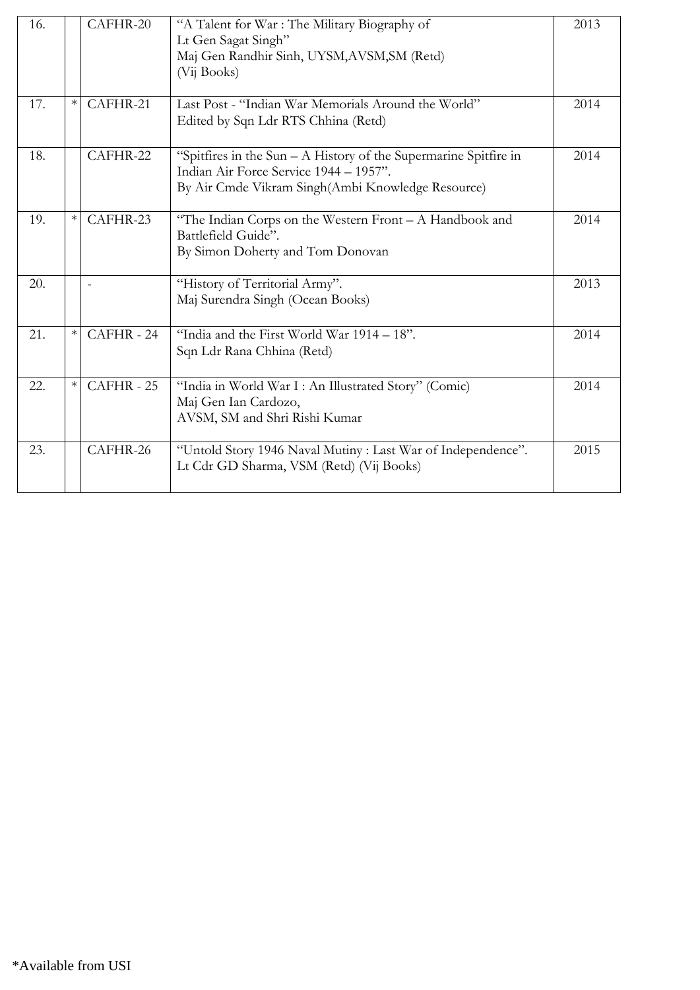| 16. |        | CAFHR-20 | "A Talent for War : The Military Biography of<br>Lt Gen Sagat Singh"<br>Maj Gen Randhir Sinh, UYSM, AVSM, SM (Retd)<br>(Vij Books)                                | 2013 |
|-----|--------|----------|-------------------------------------------------------------------------------------------------------------------------------------------------------------------|------|
| 17. | $\ast$ | CAFHR-21 | Last Post - "Indian War Memorials Around the World"<br>Edited by Sqn Ldr RTS Chhina (Retd)                                                                        | 2014 |
| 18. |        | CAFHR-22 | "Spitfires in the Sun $- A$ History of the Supermarine Spitfire in<br>Indian Air Force Service 1944 - 1957".<br>By Air Cmde Vikram Singh(Ambi Knowledge Resource) | 2014 |
| 19. | $\ast$ | CAFHR-23 | "The Indian Corps on the Western Front - A Handbook and<br>Battlefield Guide".<br>By Simon Doherty and Tom Donovan                                                | 2014 |
| 20. |        |          | "History of Territorial Army".<br>Maj Surendra Singh (Ocean Books)                                                                                                | 2013 |
| 21. | $\ast$ | CAFHR-24 | "India and the First World War 1914 - 18".<br>Sqn Ldr Rana Chhina (Retd)                                                                                          | 2014 |
| 22. | $\ast$ | CAFHR-25 | "India in World War I: An Illustrated Story" (Comic)<br>Maj Gen Ian Cardozo,<br>AVSM, SM and Shri Rishi Kumar                                                     | 2014 |
| 23. |        | CAFHR-26 | "Untold Story 1946 Naval Mutiny : Last War of Independence".<br>Lt Cdr GD Sharma, VSM (Retd) (Vij Books)                                                          | 2015 |